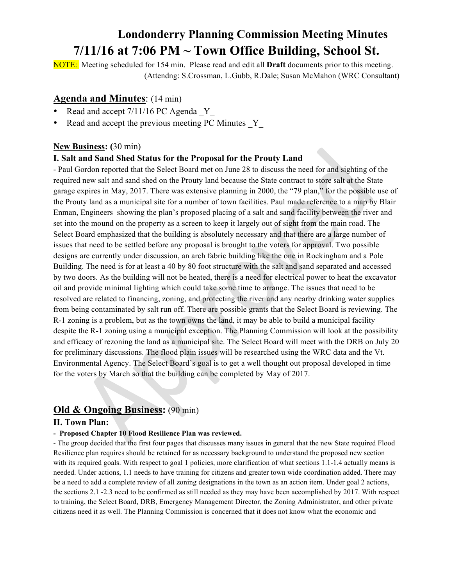## **Londonderry Planning Commission Meeting Minutes 7/11/16 at 7:06 PM ~ Town Office Building, School St.**

NOTE: Meeting scheduled for 154 min. Please read and edit all **Draft** documents prior to this meeting. (Attendng: S.Crossman, L.Gubb, R.Dale; Susan McMahon (WRC Consultant)

## **Agenda and Minutes**: (14 min)

- Read and accept  $7/11/16$  PC Agenda Y
- Read and accept the previous meeting PC Minutes Y

## **New Business: (**30 min)

## **I. Salt and Sand Shed Status for the Proposal for the Prouty Land**

- Paul Gordon reported that the Select Board met on June 28 to discuss the need for and sighting of the required new salt and sand shed on the Prouty land because the State contract to store salt at the State garage expires in May, 2017. There was extensive planning in 2000, the "79 plan," for the possible use of the Prouty land as a municipal site for a number of town facilities. Paul made reference to a map by Blair Enman, Engineers showing the plan's proposed placing of a salt and sand facility between the river and set into the mound on the property as a screen to keep it largely out of sight from the main road. The Select Board emphasized that the building is absolutely necessary and that there are a large number of issues that need to be settled before any proposal is brought to the voters for approval. Two possible designs are currently under discussion, an arch fabric building like the one in Rockingham and a Pole Building. The need is for at least a 40 by 80 foot structure with the salt and sand separated and accessed by two doors. As the building will not be heated, there is a need for electrical power to heat the excavator oil and provide minimal lighting which could take some time to arrange. The issues that need to be resolved are related to financing, zoning, and protecting the river and any nearby drinking water supplies from being contaminated by salt run off. There are possible grants that the Select Board is reviewing. The R-1 zoning is a problem, but as the town owns the land, it may be able to build a municipal facility despite the R-1 zoning using a municipal exception. The Planning Commission will look at the possibility and efficacy of rezoning the land as a municipal site. The Select Board will meet with the DRB on July 20 for preliminary discussions. The flood plain issues will be researched using the WRC data and the Vt. Environmental Agency. The Select Board's goal is to get a well thought out proposal developed in time for the voters by March so that the building can be completed by May of 2017.

## **Old & Ongoing Business:** (90 min)

### **II. Town Plan:**

#### **- Proposed Chapter 10 Flood Resilience Plan was reviewed.**

- The group decided that the first four pages that discusses many issues in general that the new State required Flood Resilience plan requires should be retained for as necessary background to understand the proposed new section with its required goals. With respect to goal 1 policies, more clarification of what sections 1.1-1.4 actually means is needed. Under actions, 1.1 needs to have training for citizens and greater town wide coordination added. There may be a need to add a complete review of all zoning designations in the town as an action item. Under goal 2 actions, the sections 2.1 -2.3 need to be confirmed as still needed as they may have been accomplished by 2017. With respect to training, the Select Board, DRB, Emergency Management Director, the Zoning Administrator, and other private citizens need it as well. The Planning Commission is concerned that it does not know what the economic and